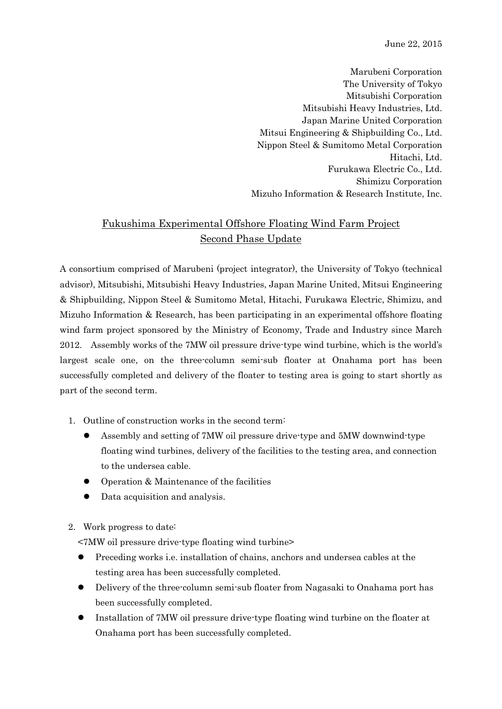June 22, 2015

Marubeni Corporation The University of Tokyo Mitsubishi Corporation Mitsubishi Heavy Industries, Ltd. Japan Marine United Corporation Mitsui Engineering & Shipbuilding Co., Ltd. Nippon Steel & Sumitomo Metal Corporation Hitachi, Ltd. Furukawa Electric Co., Ltd. Shimizu Corporation Mizuho Information & Research Institute, Inc.

## Fukushima Experimental Offshore Floating Wind Farm Project Second Phase Update

A consortium comprised of Marubeni (project integrator), the University of Tokyo (technical advisor), Mitsubishi, Mitsubishi Heavy Industries, Japan Marine United, Mitsui Engineering & Shipbuilding, Nippon Steel & Sumitomo Metal, Hitachi, Furukawa Electric, Shimizu, and Mizuho Information & Research, has been participating in an experimental offshore floating wind farm project sponsored by the Ministry of Economy, Trade and Industry since March 2012. Assembly works of the 7MW oil pressure drive-type wind turbine, which is the world's largest scale one, on the three-column semi-sub floater at Onahama port has been successfully completed and delivery of the floater to testing area is going to start shortly as part of the second term.

- 1. Outline of construction works in the second term:
	- Assembly and setting of 7MW oil pressure drive-type and 5MW downwind-type floating wind turbines, delivery of the facilities to the testing area, and connection to the undersea cable.
	- Operation & Maintenance of the facilities
	- Data acquisition and analysis.
- 2. Work progress to date:
	- <7MW oil pressure drive-type floating wind turbine>
	- Preceding works i.e. installation of chains, anchors and undersea cables at the testing area has been successfully completed.
	- Delivery of the three-column semi-sub floater from Nagasaki to Onahama port has been successfully completed.
	- Installation of 7MW oil pressure drive-type floating wind turbine on the floater at Onahama port has been successfully completed.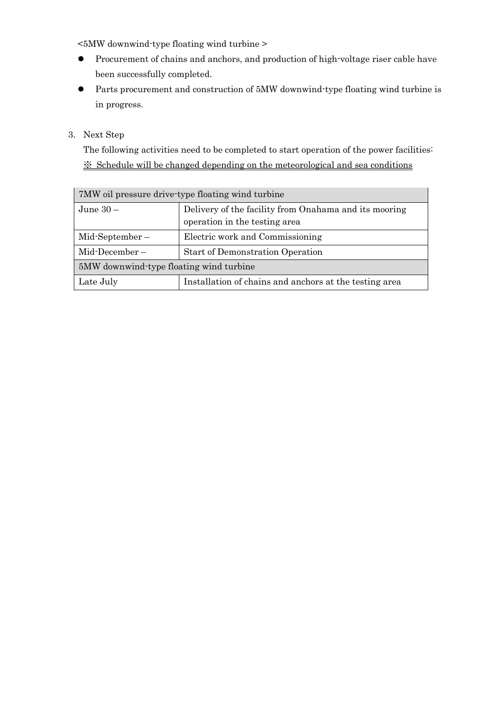<5MW downwind-type floating wind turbine >

- Procurement of chains and anchors, and production of high-voltage riser cable have been successfully completed.
- Parts procurement and construction of 5MW downwind-type floating wind turbine is in progress.

3. Next Step

The following activities need to be completed to start operation of the power facilities: ※ Schedule will be changed depending on the meteorological and sea conditions

| 7MW oil pressure drive type floating wind turbine |                                                                                        |  |  |  |
|---------------------------------------------------|----------------------------------------------------------------------------------------|--|--|--|
| June $30-$                                        | Delivery of the facility from Onahama and its mooring<br>operation in the testing area |  |  |  |
| $Mid-September-$                                  | Electric work and Commissioning                                                        |  |  |  |
| $Mid\text{-}\nDecember -$                         | <b>Start of Demonstration Operation</b>                                                |  |  |  |
| 5MW downwind-type floating wind turbine           |                                                                                        |  |  |  |
| Late July                                         | Installation of chains and anchors at the testing area                                 |  |  |  |